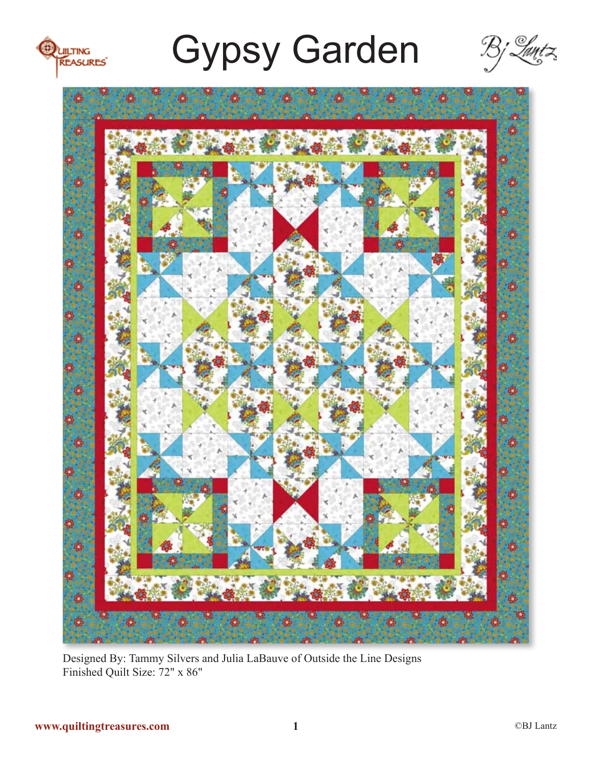





Designed By: Tammy Silvers and Julia LaBauve of Outside the Line Designs Finished Quilt Size: 72" x 86"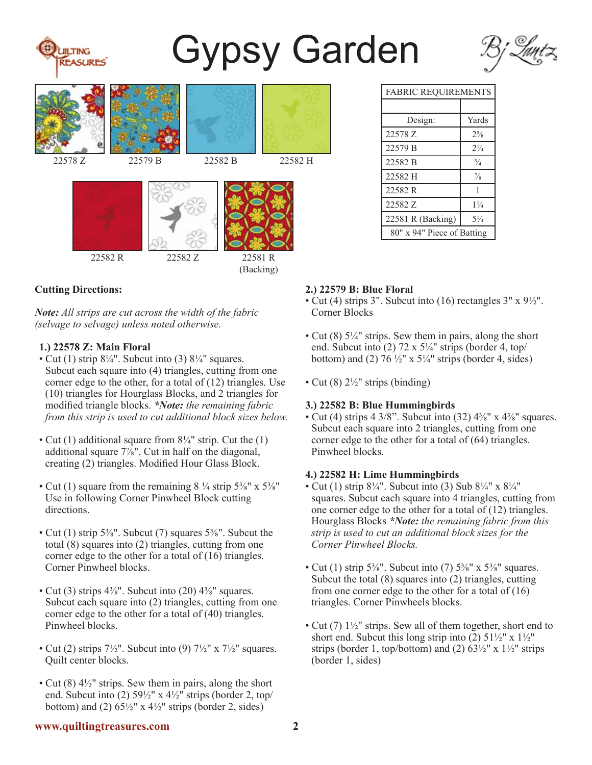

### **Cutting Directions:**

**TING EASURES** 

*Note: All strips are cut across the width of the fabric (selvage to selvage) unless noted otherwise.*

#### **1.) 22578 Z: Main Floral**

- Cut (1) strip  $8\frac{1}{4}$ ". Subcut into (3)  $8\frac{1}{4}$ " squares. Subcut each square into (4) triangles, cutting from one corner edge to the other, for a total of (12) triangles. Use (10) triangles for Hourglass Blocks, and 2 triangles for modified triangle blocks. *\*Note: the remaining fabric from this strip is used to cut additional block sizes below.*
- Cut (1) additional square from 8¼" strip. Cut the (1) additional square  $7\frac{7}{8}$ ". Cut in half on the diagonal, creating (2) triangles. Modified Hour Glass Block.
- Cut (1) square from the remaining  $8\frac{1}{4}$  strip  $5\frac{3}{8}$ " x  $5\frac{3}{8}$ " Use in following Corner Pinwheel Block cutting directions.
- Cut (1) strip 5<sup>3</sup>/<sub>8</sub>". Subcut (7) squares 5<sup>3</sup>/<sub>8</sub>". Subcut the total (8) squares into (2) triangles, cutting from one corner edge to the other for a total of (16) triangles. Corner Pinwheel blocks.
- Cut (3) strips  $4\frac{3}{8}$ ". Subcut into (20)  $4\frac{3}{8}$ " squares. Subcut each square into (2) triangles, cutting from one corner edge to the other for a total of (40) triangles. Pinwheel blocks.
- Cut (2) strips  $7\frac{1}{2}$ ". Subcut into (9)  $7\frac{1}{2}$ " x  $7\frac{1}{2}$ " squares. Quilt center blocks.
- Cut  $(8)$  4<sup> $1/2$ </sup>" strips. Sew them in pairs, along the short end. Subcut into (2)  $59\frac{1}{2}$ " x  $4\frac{1}{2}$ " strips (border 2, top/ bottom) and (2)  $65\frac{1}{2}$ " x  $4\frac{1}{2}$ " strips (border 2, sides)

| <b>FABRIC REQUIREMENTS</b> |                |
|----------------------------|----------------|
|                            |                |
| Design:                    | Yards          |
| 22578 Z                    | $2^{5}/8$      |
| 22579 B                    | $2\frac{1}{4}$ |
| 22582 B                    | $\frac{3}{4}$  |
| 22582 H                    | $\frac{7}{8}$  |
| 22582R                     | 1              |
| 22582 Z                    | $1\frac{1}{4}$ |
| 22581 R (Backing)          | $5\frac{1}{4}$ |
| 80" x 94" Piece of Batting |                |

#### **2.) 22579 B: Blue Floral**

- Cut (4) strips 3". Subcut into (16) rectangles 3" x 9½". Corner Blocks
- Cut  $(8)$  5¼" strips. Sew them in pairs, along the short end. Subcut into  $(2)$  72 x 5¼" strips (border 4, top/ bottom) and (2)  $76\frac{1}{2}$ " x  $5\frac{1}{4}$ " strips (border 4, sides)
- Cut  $(8)$  2<sup>1</sup>/<sub>2</sub>" strips (binding)

#### **3.) 22582 B: Blue Hummingbirds**

• Cut (4) strips 4 3/8". Subcut into  $(32)$  4<sup>3</sup>/<sub>8</sub>" x 4<sup>3</sup>/<sub>8</sub>" squares. Subcut each square into 2 triangles, cutting from one corner edge to the other for a total of (64) triangles. Pinwheel blocks.

#### **4.) 22582 H: Lime Hummingbirds**

- Cut (1) strip  $8\frac{1}{4}$ ". Subcut into (3) Sub  $8\frac{1}{4}$ " x  $8\frac{1}{4}$ " squares. Subcut each square into 4 triangles, cutting from one corner edge to the other for a total of (12) triangles. Hourglass Blocks *\*Note: the remaining fabric from this strip is used to cut an additional block sizes for the Corner Pinwheel Blocks.*
- Cut (1) strip  $5\frac{3}{8}$ ". Subcut into (7)  $5\frac{3}{8}$ " x  $5\frac{3}{8}$ " squares. Subcut the total (8) squares into (2) triangles, cutting from one corner edge to the other for a total of  $(16)$ triangles. Corner Pinwheels blocks.
- Cut (7)  $1\frac{1}{2}$ " strips. Sew all of them together, short end to short end. Subcut this long strip into  $(2)$  51 $\frac{1}{2}$ " x 1 $\frac{1}{2}$ " strips (border 1, top/bottom) and (2)  $63\frac{1}{2}$ " x  $1\frac{1}{2}$ " strips (border 1, sides)

#### **www.quiltingtreasures.com 2**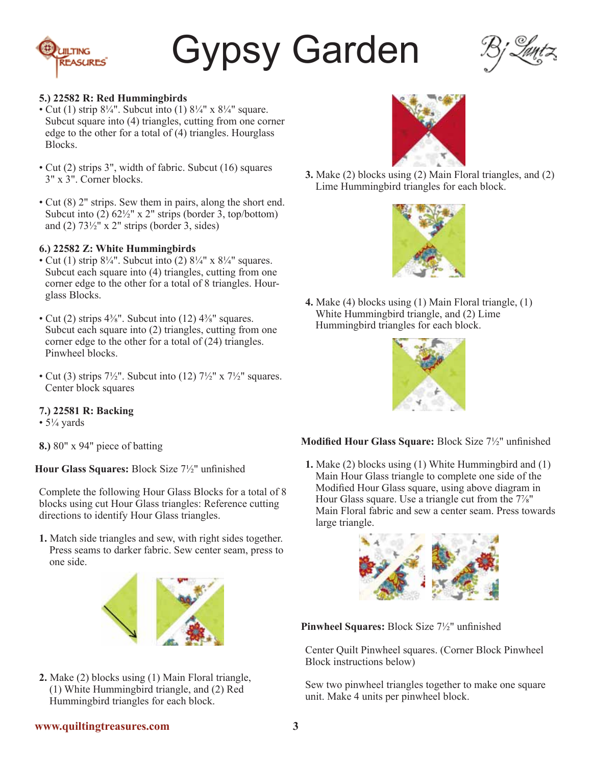



#### **5.) 22582 R: Red Hummingbirds**

- Cut (1) strip  $8\frac{1}{4}$ ". Subcut into (1)  $8\frac{1}{4}$ " x  $8\frac{1}{4}$ " square. Subcut square into (4) triangles, cutting from one corner edge to the other for a total of (4) triangles. Hourglass Blocks.
- Cut (2) strips 3", width of fabric. Subcut (16) squares 3" x 3". Corner blocks.
- Cut (8) 2" strips. Sew them in pairs, along the short end. Subcut into  $(2)$  62 $\frac{1}{2}$ " x 2" strips (border 3, top/bottom) and (2)  $73\frac{1}{2}$ " x 2" strips (border 3, sides)

#### **6.) 22582 Z: White Hummingbirds**

- Cut (1) strip  $8\frac{1}{4}$ ". Subcut into (2)  $8\frac{1}{4}$ " x  $8\frac{1}{4}$ " squares. Subcut each square into (4) triangles, cutting from one corner edge to the other for a total of 8 triangles. Hourglass Blocks.
- Cut (2) strips  $4\frac{3}{8}$ ". Subcut into (12)  $4\frac{3}{8}$ " squares. Subcut each square into (2) triangles, cutting from one corner edge to the other for a total of (24) triangles. Pinwheel blocks.
- Cut (3) strips  $7\frac{1}{2}$ ". Subcut into (12)  $7\frac{1}{2}$ " x  $7\frac{1}{2}$ " squares. Center block squares

#### **7.) 22581 R: Backing**

- $5\frac{1}{4}$  yards
- **8.)** 80" x 94" piece of batting

**Hour Glass Squares:** Block Size 7½" unfinished

Complete the following Hour Glass Blocks for a total of 8 blocks using cut Hour Glass triangles: Reference cutting directions to identify Hour Glass triangles.

**1.** Match side triangles and sew, with right sides together. Press seams to darker fabric. Sew center seam, press to one side.



**2.** Make (2) blocks using (1) Main Floral triangle, (1) White Hummingbird triangle, and (2) Red Hummingbird triangles for each block.



**3.** Make (2) blocks using (2) Main Floral triangles, and (2) Lime Hummingbird triangles for each block.



**4.** Make (4) blocks using (1) Main Floral triangle, (1) White Hummingbird triangle, and (2) Lime Hummingbird triangles for each block.



### **Modified Hour Glass Square:** Block Size 7½" unfinished

**1.** Make (2) blocks using (1) White Hummingbird and (1) Main Hour Glass triangle to complete one side of the Modified Hour Glass square, using above diagram in Hour Glass square. Use a triangle cut from the 7⅞" Main Floral fabric and sew a center seam. Press towards large triangle.



**Pinwheel Squares:** Block Size 7½" unfinished

Center Quilt Pinwheel squares. (Corner Block Pinwheel Block instructions below)

Sew two pinwheel triangles together to make one square unit. Make 4 units per pinwheel block.

#### **www.quiltingtreasures.com 3**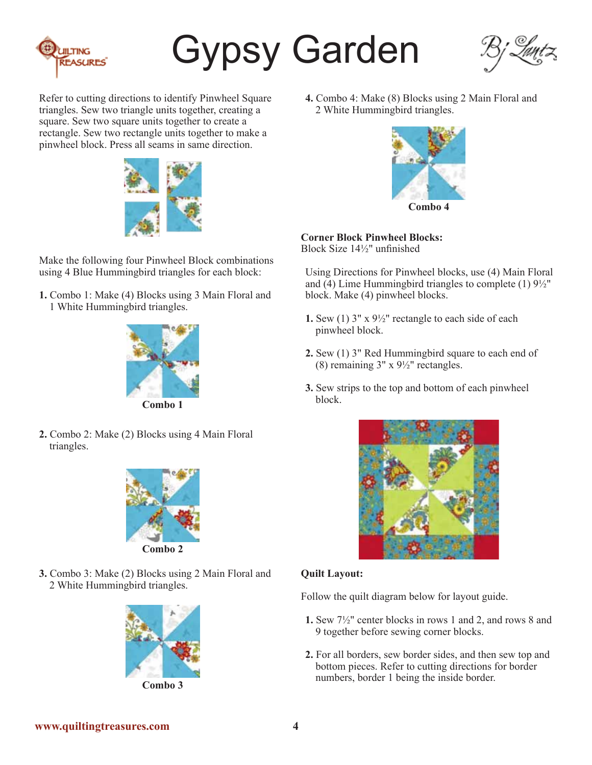



Refer to cutting directions to identify Pinwheel Square triangles. Sew two triangle units together, creating a square. Sew two square units together to create a rectangle. Sew two rectangle units together to make a pinwheel block. Press all seams in same direction.



Make the following four Pinwheel Block combinations using 4 Blue Hummingbird triangles for each block:

**1.** Combo 1: Make (4) Blocks using 3 Main Floral and 1 White Hummingbird triangles.



**2.** Combo 2: Make (2) Blocks using 4 Main Floral triangles.



- 
- **3.** Combo 3: Make (2) Blocks using 2 Main Floral and 2 White Hummingbird triangles.



**Combo 3**

**4.** Combo 4: Make (8) Blocks using 2 Main Floral and 2 White Hummingbird triangles.



**Corner Block Pinwheel Blocks:** Block Size 14½" unfinished

Using Directions for Pinwheel blocks, use (4) Main Floral and (4) Lime Hummingbird triangles to complete (1)  $9\frac{1}{2}$ " block. Make (4) pinwheel blocks.

- **1.** Sew (1) 3" x 9½" rectangle to each side of each pinwheel block.
- **2.** Sew (1) 3" Red Hummingbird square to each end of (8) remaining  $3'' \times 9\frac{1}{2}$  rectangles.
- **3.** Sew strips to the top and bottom of each pinwheel block.



### **Quilt Layout:**

Follow the quilt diagram below for layout guide.

- **1.** Sew 7½" center blocks in rows 1 and 2, and rows 8 and 9 together before sewing corner blocks.
- **2.** For all borders, sew border sides, and then sew top and bottom pieces. Refer to cutting directions for border numbers, border 1 being the inside border.